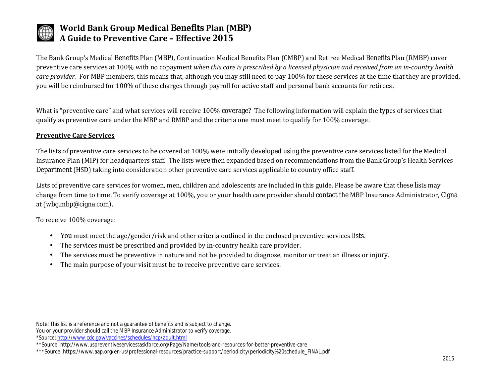

# **World Bank Group Medical Benefits Plan (MBP) A Guide to Preventive Care – Effective 2015**

The Bank Group's Medical Benefits Plan (MBP), Continuation Medical Benefits Plan (CMBP) and Retiree Medical Benefits Plan (RMBP) cover preventive care services at 100% with no copayment *when this care is prescribed by a licensed physician and received from an in-country health care provider.* For MBP members, this means that, although you may still need to pay 100% for these services at the time that they are provided, you will be reimbursed for 100% of these charges through payroll for active staff and personal bank accounts for retirees.

What is "preventive care" and what services will receive 100% coverage? The following information will explain the types of services that qualify as preventive care under the MBP and RMBP and the criteria one must meet to qualify for 100% coverage.

### **Preventive Care Services**

The lists of preventive care services to be covered at 100% were initially developed using the preventive care services listed for the Medical Insurance Plan (MIP) for headquarters staff. The lists were then expanded based on recommendations from the Bank Group's Health Services Department (HSD) taking into consideration other preventive care services applicable to country office staff.

Lists of preventive care services for women, men, children and adolescents are included in this guide. Please be aware that these lists may change from time to time. To verify coverage at 100%, you or your health care provider should contact the MBP Insurance Administrator, Cigna at (wbg.mbp@cigna.com).

To receive 100% coverage:

- You must meet the age/gender/risk and other criteria outlined in the enclosed preventive services lists.  $\blacksquare$
- The services must be prescribed and provided by in-country health care provider.  $\blacksquare$
- The services must be preventive in nature and not be provided to diagnose, monitor or treat an illness or injury.  $\blacksquare$
- The main purpose of your visit must be to receive preventive care services. $\blacksquare$

Note: This list is a reference and not a guarantee of benefits and is subject to change. You or your provider should call the MBP Insurance Administrator to verify coverage. \*Source[: http://www.cdc.gov/vaccines/schedules/hcp/adult.html](http://www.cdc.gov/vaccines/schedules/hcp/adult.html)

\*\*Source: http://www.uspreventiveservicestaskforce.org/Page/Name/tools-and-resources-for-better-preventive-care

<sup>\*\*\*</sup>Source: https://www.aap.org/en-us/professional-resources/practice-support/periodicity/periodicity%20schedule\_FINAL.pdf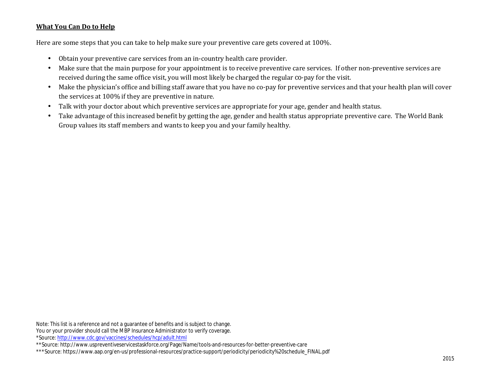### **What You Can Do to Help**

Here are some steps that you can take to help make sure your preventive care gets covered at 100%.

- Obtain your preventive care services from an in-country health care provider. ä,
- Make sure that the main purpose for your appointment is to receive preventive care services. If other non-preventive services are received during the same office visit, you will most likely be charged the regular co-pay for the visit.
- Make the physician's office and billing staff aware that you have no co-pay for preventive services and that your health plan will cover  $\blacksquare$ the services at 100% if they are preventive in nature.
- Talk with your doctor about which preventive services are appropriate for your age, gender and health status.  $\mathbf{r}$
- Take advantage of this increased benefit by getting the age, gender and health status appropriate preventive care. The World Bank  $\blacksquare$ Group values its staff members and wants to keep you and your family healthy.

Note: This list is a reference and not a guarantee of benefits and is subject to change. You or your provider should call the MBP Insurance Administrator to verify coverage. \*Source[: http://www.cdc.gov/vaccines/schedules/hcp/adult.html](http://www.cdc.gov/vaccines/schedules/hcp/adult.html)

\*\*Source: http://www.uspreventiveservicestaskforce.org/Page/Name/tools-and-resources-for-better-preventive-care

<sup>\*\*\*</sup>Source: https://www.aap.org/en-us/professional-resources/practice-support/periodicity/periodicity%20schedule\_FINAL.pdf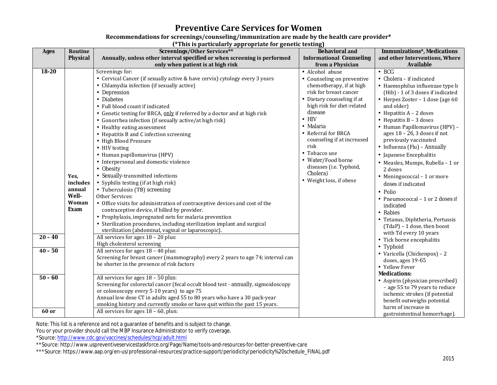## **Preventive Care Services for Women**

### **Recommendations for screenings/counseling/immunization are made by the health care provider\***

**(\*This is particularly appropriate for genetic testing)**

| Screenings/Other Services**<br><b>Ages</b><br>Routine                                                                                                                                                                                                                                                                                                                                                                                                                                                                                                                                                                                                                                                                                                                                                                                                                                                                                                                                                                                                                                                                                                                                                                                                                                                                                                                                                                                                                                                                                                                                                                                                                                                                                                                      | <b>Behavioral and</b>                                                                                                                                                                                                                                                                                                                                | <b>Immunizations*, Medications</b>                                                                                                                                                                                                                                                                                                                                                                                                                                                                                                                                                                                                                                                                                                                                                                                                                                                                                                 |
|----------------------------------------------------------------------------------------------------------------------------------------------------------------------------------------------------------------------------------------------------------------------------------------------------------------------------------------------------------------------------------------------------------------------------------------------------------------------------------------------------------------------------------------------------------------------------------------------------------------------------------------------------------------------------------------------------------------------------------------------------------------------------------------------------------------------------------------------------------------------------------------------------------------------------------------------------------------------------------------------------------------------------------------------------------------------------------------------------------------------------------------------------------------------------------------------------------------------------------------------------------------------------------------------------------------------------------------------------------------------------------------------------------------------------------------------------------------------------------------------------------------------------------------------------------------------------------------------------------------------------------------------------------------------------------------------------------------------------------------------------------------------------|------------------------------------------------------------------------------------------------------------------------------------------------------------------------------------------------------------------------------------------------------------------------------------------------------------------------------------------------------|------------------------------------------------------------------------------------------------------------------------------------------------------------------------------------------------------------------------------------------------------------------------------------------------------------------------------------------------------------------------------------------------------------------------------------------------------------------------------------------------------------------------------------------------------------------------------------------------------------------------------------------------------------------------------------------------------------------------------------------------------------------------------------------------------------------------------------------------------------------------------------------------------------------------------------|
| Annually, unless other interval specified or when screening is performed<br><b>Physical</b>                                                                                                                                                                                                                                                                                                                                                                                                                                                                                                                                                                                                                                                                                                                                                                                                                                                                                                                                                                                                                                                                                                                                                                                                                                                                                                                                                                                                                                                                                                                                                                                                                                                                                | <b>Informational Counseling</b>                                                                                                                                                                                                                                                                                                                      | and other Interventions, Where                                                                                                                                                                                                                                                                                                                                                                                                                                                                                                                                                                                                                                                                                                                                                                                                                                                                                                     |
| only when patient is at high risk                                                                                                                                                                                                                                                                                                                                                                                                                                                                                                                                                                                                                                                                                                                                                                                                                                                                                                                                                                                                                                                                                                                                                                                                                                                                                                                                                                                                                                                                                                                                                                                                                                                                                                                                          | from a Physician                                                                                                                                                                                                                                                                                                                                     | <b>Available</b>                                                                                                                                                                                                                                                                                                                                                                                                                                                                                                                                                                                                                                                                                                                                                                                                                                                                                                                   |
| 18-20<br>Screenings for:<br>Cervical Cancer (if sexually active & have cervix) cytology every 3 years<br>Chlamydia infection (if sexually active)<br>Depression<br>· Diabetes<br>Full blood count if indicated<br>- Genetic testing for BRCA, only if referred by a doctor and at high risk<br>Gonorrhea infection (if sexually active/at high risk)<br>· Healthy eating assessment<br>• Hepatitis B and C infection screening<br>· High Blood Pressure<br>· HIV testing<br>· Human papillomavirus (HPV)<br>· Interpersonal and domestic violence<br>Obesity<br>Sexually-transmitted infections<br>Yes,<br>Syphilis testing (if at high risk)<br>includes<br>annual<br>· Tuberculosis (TB) screening<br><b>Well-</b><br>Other Services:<br>Woman<br>• Office visits for administration of contraceptive devices and cost of the<br><b>Exam</b><br>contraceptive device, if billed by provider.<br>Prophylaxis, impregnated nets for malaria prevention<br>Sterilization procedures, including sterilization implant and surgical<br>sterilization (abdominal, vaginal or laparoscopic).<br>All services for ages $18 - 20$ plus:<br>$20 - 40$<br>High cholesterol screening<br>All services for ages $18 - 40$ plus:<br>$40 - 50$<br>Screening for breast cancer (mammography) every 2 years to age 74; interval can<br>be shorter in the presence of risk factors<br>$50 - 60$<br>All services for ages $18 - 50$ plus:<br>Screening for colorectal cancer (fecal occult blood test - annually, sigmoidoscopy<br>or colonoscopy every 5-10 years) to age 75<br>Annual low dose CT in adults aged 55 to 80 years who have a 30 pack-year<br>smoking history and currently smoke or have quit within the past 15 years.<br>60 or<br>All services for ages $18 - 60$ , plus: | Alcohol abuse<br>Counseling on preventive<br>chemotherapy, if at high<br>risk for breast cancer<br>Dietary counseling if at<br>high risk for diet-related<br>disease<br>HIV<br>Malaria<br>Referral for BRCA<br>counseling if at increased<br>risk<br>Tobacco use<br>Water/Food borne<br>diseases (i.e. Typhoid,<br>Cholera)<br>Weight loss, if obese | <b>BCG</b><br>Cholera - if indicated<br>Haemophilus influenzae type b<br>(Hib) - 1 of 3 doses if indicated<br>Herpes Zoster - 1 dose (age 60<br>and older)<br>Hepatitis A - 2 doses<br>Hepatitis $B - 3$ doses<br>Human Papillomavirus (HPV) -<br>ages $18 - 26$ , 3 doses if not<br>previously vaccinated<br>Influenza (Flu) - Annually<br>Japanese Encephalitis<br>Measles, Mumps, Rubella - 1 or<br>2 doses<br>Meningococcal - 1 or more<br>doses if indicated<br>Polio<br>Pneumococcal – 1 or 2 doses if<br>indicated<br>Rabies<br>Tetanus, Diphtheria, Pertussis<br>$(TdaP) - 1$ dose, then boost<br>with Td every 10 years<br>Tick borne encephalitis<br>Typhoid<br>· Varicella (Chickenpox) - 2<br>doses, ages 19-65<br>· Yellow Fever<br><b>Medications:</b><br>· Aspirin (physician prescribed)<br>- age 55 to 79 years to reduce<br>ischemic strokes (if potential<br>benefit outweighs potential<br>harm of increase in |

Note: This list is a reference and not a guarantee of benefits and is subject to change.

You or your provider should call the MBP Insurance Administrator to verify coverage.

\*Source[: http://www.cdc.gov/vaccines/schedules/hcp/adult.html](http://www.cdc.gov/vaccines/schedules/hcp/adult.html)

\*\*Source: http://www.uspreventiveservicestaskforce.org/Page/Name/tools-and-resources-for-better-preventive-care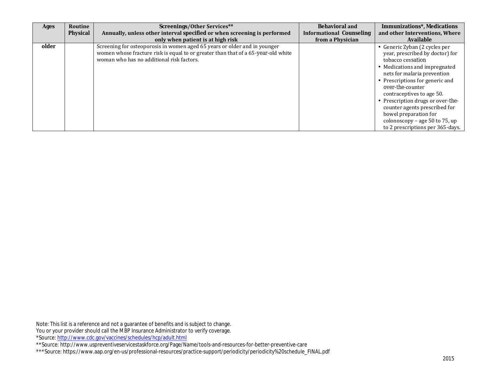| Ages  | Routine         | Screenings/Other Services**                                                                                                                                                                                 | <b>Behavioral and</b>                               | <b>Immunizations*, Medications</b>                                                                                                                                                                                                                                                                                                                                                                     |
|-------|-----------------|-------------------------------------------------------------------------------------------------------------------------------------------------------------------------------------------------------------|-----------------------------------------------------|--------------------------------------------------------------------------------------------------------------------------------------------------------------------------------------------------------------------------------------------------------------------------------------------------------------------------------------------------------------------------------------------------------|
|       | <b>Physical</b> | Annually, unless other interval specified or when screening is performed<br>only when patient is at high risk                                                                                               | <b>Informational Counseling</b><br>from a Physician | and other Interventions, Where<br><b>Available</b>                                                                                                                                                                                                                                                                                                                                                     |
| older |                 | Screening for osteoporosis in women aged 65 years or older and in younger<br>women whose fracture risk is equal to or greater than that of a 65-year-old white<br>woman who has no additional risk factors. |                                                     | Generic Zyban (2 cycles per<br>year, prescribed by doctor) for<br>tobacco cessation<br>Medications and impregnated<br>nets for malaria prevention<br>Prescriptions for generic and<br>over-the-counter<br>contraceptives to age 50.<br>Prescription drugs or over-the-<br>counter agents prescribed for<br>bowel preparation for<br>colonoscopy - age 50 to 75, up<br>to 2 prescriptions per 365-days. |

Note: This list is a reference and not a guarantee of benefits and is subject to change. You or your provider should call the MBP Insurance Administrator to verify coverage. \*Source[: http://www.cdc.gov/vaccines/schedules/hcp/adult.html](http://www.cdc.gov/vaccines/schedules/hcp/adult.html)

\*\*Source: http://www.uspreventiveservicestaskforce.org/Page/Name/tools-and-resources-for-better-preventive-care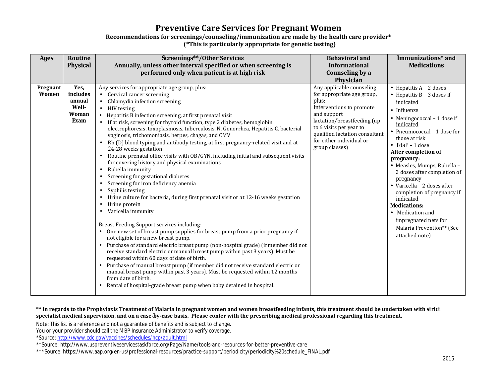## **Preventive Care Services for Pregnant Women**

#### **Recommendations for screenings/counseling/immunization are made by the health care provider\* (\*This is particularly appropriate for genetic testing)**

| <b>Ages</b>              | Routine<br><b>Physical</b>                                  | <b>Screenings**/Other Services</b><br>Annually, unless other interval specified or when screening is<br>performed only when patient is at high risk                                                                                                                                                                                                                                                                                                                                                                                                                                                                                                                                                                                                                                                                                                                                                                                                                                                                                                                                                                                                                                                                                                                                                                                                                                                                                                                                                                                                                                                              | <b>Behavioral and</b><br><b>Informational</b><br>Counseling by a<br>Physician                                                                                                                                                                         | Immunizations* and<br><b>Medications</b>                                                                                                                                                                                                                                                                                                                                                                                                                                                                       |
|--------------------------|-------------------------------------------------------------|------------------------------------------------------------------------------------------------------------------------------------------------------------------------------------------------------------------------------------------------------------------------------------------------------------------------------------------------------------------------------------------------------------------------------------------------------------------------------------------------------------------------------------------------------------------------------------------------------------------------------------------------------------------------------------------------------------------------------------------------------------------------------------------------------------------------------------------------------------------------------------------------------------------------------------------------------------------------------------------------------------------------------------------------------------------------------------------------------------------------------------------------------------------------------------------------------------------------------------------------------------------------------------------------------------------------------------------------------------------------------------------------------------------------------------------------------------------------------------------------------------------------------------------------------------------------------------------------------------------|-------------------------------------------------------------------------------------------------------------------------------------------------------------------------------------------------------------------------------------------------------|----------------------------------------------------------------------------------------------------------------------------------------------------------------------------------------------------------------------------------------------------------------------------------------------------------------------------------------------------------------------------------------------------------------------------------------------------------------------------------------------------------------|
| Pregnant<br><b>Women</b> | Yes,<br>includes<br>annual<br><b>Well-</b><br>Woman<br>Exam | Any services for appropriate age group, plus:<br>Cervical cancer screening<br>$\epsilon$<br>Chlamydia infection screening<br>$\mathbf{r}$<br>HIV testing<br>Hepatitis B infection screening, at first prenatal visit<br>If at risk, screening for thyroid function, type 2 diabetes, hemoglobin<br>electrophoresis, toxoplasmosis, tuberculosis, N. Gonorrhea, Hepatitis C, bacterial<br>vaginosis, trichomoniasis, herpes, chagas, and CMV<br>Rh (D) blood typing and antibody testing, at first pregnancy-related visit and at<br>24-28 weeks gestation<br>Routine prenatal office visits with OB/GYN, including initial and subsequent visits<br>for covering history and physical examinations<br>Rubella immunity<br>Screening for gestational diabetes<br>Screening for iron deficiency anemia<br>Syphilis testing<br>Urine culture for bacteria, during first prenatal visit or at 12-16 weeks gestation<br>Urine protein<br>Varicella immunity<br>Breast Feeding Support services including:<br>One new set of breast pump supplies for breast pump from a prior pregnancy if<br>not eligible for a new breast pump.<br>Purchase of standard electric breast pump (non-hospital grade) (if member did not<br>receive standard electric or manual breast pump within past 3 years). Must be<br>requested within 60 days of date of birth.<br>Purchase of manual breast pump (if member did not receive standard electric or<br>manual breast pump within past 3 years). Must be requested within 12 months<br>from date of birth.<br>Rental of hospital-grade breast pump when baby detained in hospital. | Any applicable counseling<br>for appropriate age group,<br>plus:<br>Interventions to promote<br>and support<br>lactation/breastfeeding (up<br>to 6 visits per year to<br>qualified lactation consultant<br>for either individual or<br>group classes) | Hepatitis $A - 2$ doses<br>Hepatitis $B - 3$ doses if<br>indicated<br>· Influenza<br>Meningococcal - 1 dose if<br>indicated<br>Pneumococcal – 1 dose for<br>those at risk<br>$\cdot$ TdaP - 1 dose<br>After completion of<br>pregnancy:<br>- Measles, Mumps, Rubella -<br>2 doses after completion of<br>pregnancy<br>· Varicella - 2 doses after<br>completion of pregnancy if<br>indicated<br><b>Medications:</b><br>· Medication and<br>impregnated nets for<br>Malaria Prevention** (See<br>attached note) |

#### **\*\* In regards to the Prophylaxis Treatment of Malaria in pregnant women and women breastfeeding infants, this treatment should be undertaken with** *strict* **specialist medical supervision, and on a case-by-case basis. Please confer with the prescribing medical professional regarding this treatment.**

Note: This list is a reference and not a guarantee of benefits and is subject to change.

You or your provider should call the MBP Insurance Administrator to verify coverage.

\*Source[: http://www.cdc.gov/vaccines/schedules/hcp/adult.html](http://www.cdc.gov/vaccines/schedules/hcp/adult.html)

\*\*Source: http://www.uspreventiveservicestaskforce.org/Page/Name/tools-and-resources-for-better-preventive-care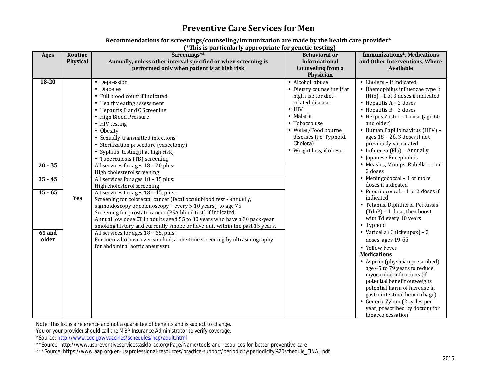## **Preventive Care Services for Men**

#### **Recommendations for screenings/counseling/immunization are made by the health care provider\***

**(\*This is particularly appropriate for genetic testing)**

| <b>Ages</b>                                                                | Routine<br><b>Physical</b> | $\mathbf{r}$ and is particularly uppropriate for generic testing<br>Screenings**<br>Annually, unless other interval specified or when screening is<br>performed only when patient is at high risk                                                                                                                                                                                                                                                                                                                                                                                                                                                                                                                                                                                                                                                                                                                                                                                                                                                  | <b>Behavioral or</b><br>Informational<br><b>Counseling from a</b><br>Physician                                                                                                                                   | <b>Immunizations*, Medications</b><br>and Other Interventions, Where<br><b>Available</b>                                                                                                                                                                                                                                                                                                                                                                                                                                                                                                                                                                                                                                                                                                                                                                                                                                                                                                                                                          |
|----------------------------------------------------------------------------|----------------------------|----------------------------------------------------------------------------------------------------------------------------------------------------------------------------------------------------------------------------------------------------------------------------------------------------------------------------------------------------------------------------------------------------------------------------------------------------------------------------------------------------------------------------------------------------------------------------------------------------------------------------------------------------------------------------------------------------------------------------------------------------------------------------------------------------------------------------------------------------------------------------------------------------------------------------------------------------------------------------------------------------------------------------------------------------|------------------------------------------------------------------------------------------------------------------------------------------------------------------------------------------------------------------|---------------------------------------------------------------------------------------------------------------------------------------------------------------------------------------------------------------------------------------------------------------------------------------------------------------------------------------------------------------------------------------------------------------------------------------------------------------------------------------------------------------------------------------------------------------------------------------------------------------------------------------------------------------------------------------------------------------------------------------------------------------------------------------------------------------------------------------------------------------------------------------------------------------------------------------------------------------------------------------------------------------------------------------------------|
| $18 - 20$<br>$20 - 35$<br>$35 - 45$<br>$45 - 65$<br><b>65 and</b><br>older | Yes                        | Depression<br><b>Diabetes</b><br>Full blood count if indicated<br>Healthy eating assessment<br>Hepatitis B and C Screening<br><b>High Blood Pressure</b><br>HIV testing<br><b>Obesity</b><br>Sexually-transmitted infections<br>Sterilization procedure (vasectomy)<br>Syphilis testing(if at high risk)<br>Tuberculosis (TB) screening<br>All services for ages $18 - 20$ plus:<br>High cholesterol screening<br>All services for ages 18 - 35 plus:<br>High cholesterol screening<br>All services for ages $18 - 45$ , plus:<br>Screening for colorectal cancer (fecal occult blood test - annually,<br>sigmoidoscopy or colonoscopy - every 5-10 years) to age 75<br>Screening for prostate cancer (PSA blood test) if indicated<br>Annual low dose CT in adults aged 55 to 80 years who have a 30 pack-year<br>smoking history and currently smoke or have quit within the past 15 years.<br>All services for ages $18 - 65$ , plus:<br>For men who have ever smoked, a one-time screening by ultrasonography<br>for abdominal aortic aneurysm | Alcohol abuse<br>Dietary counseling if at<br>high risk for diet-<br>related disease<br><b>HIV</b><br>Malaria<br>Tobacco use<br>Water/Food bourne<br>diseases (i.e. Typhoid,<br>Cholera)<br>Weight loss, if obese | · Cholera - if indicated<br>· Haemophilus influenzae type b<br>(Hib) - 1 of 3 doses if indicated<br>$\cdot$ Hepatitis A – 2 doses<br>$\cdot$ Hepatitis B - 3 doses<br>· Herpes Zoster - 1 dose (age 60<br>and older)<br>· Human Papillomavirus (HPV) -<br>ages $18 - 26$ , 3 doses if not<br>previously vaccinated<br>· Influenza (Flu) - Annually<br>· Japanese Encephalitis<br>· Measles, Mumps, Rubella - 1 or<br>2 doses<br>$\cdot$ Meningococcal - 1 or more<br>doses if indicated<br>$\cdot$ Pneumococcal – 1 or 2 doses if<br>indicated<br>· Tetanus, Diphtheria, Pertussis<br>$(TdaP) - 1$ dose, then boost<br>with Td every 10 years<br>Typhoid<br>· Varicella (Chickenpox) - 2<br>doses, ages 19-65<br>· Yellow Fever<br><b>Medications</b><br>· Aspirin (physician prescribed)<br>age 45 to 79 years to reduce<br>myocardial infarctions (if<br>potential benefit outweighs<br>potential harm of increase in<br>gastrointestinal hemorrhage).<br>· Generic Zyban (2 cycles per<br>year, prescribed by doctor) for<br>tobacco cessation |

Note: This list is a reference and not a guarantee of benefits and is subject to change.

You or your provider should call the MBP Insurance Administrator to verify coverage.

\*Source[: http://www.cdc.gov/vaccines/schedules/hcp/adult.html](http://www.cdc.gov/vaccines/schedules/hcp/adult.html)

\*\*Source: http://www.uspreventiveservicestaskforce.org/Page/Name/tools-and-resources-for-better-preventive-care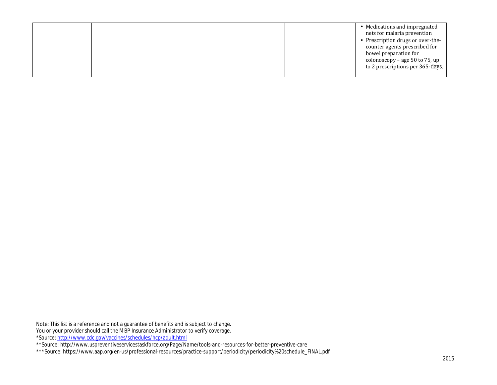|  | nets for malaria prevention<br>Prescription drugs or over-the-<br>counter agents prescribed for<br>bowel preparation for<br>colonoscopy – age 50 to 75, up<br>to 2 prescriptions per 365-days. |
|--|------------------------------------------------------------------------------------------------------------------------------------------------------------------------------------------------|
|  |                                                                                                                                                                                                |

Note: This list is a reference and not a guarantee of benefits and is subject to change. You or your provider should call the MBP Insurance Administrator to verify coverage. \*Source[: http://www.cdc.gov/vaccines/schedules/hcp/adult.html](http://www.cdc.gov/vaccines/schedules/hcp/adult.html)

\*\*Source: http://www.uspreventiveservicestaskforce.org/Page/Name/tools-and-resources-for-better-preventive-care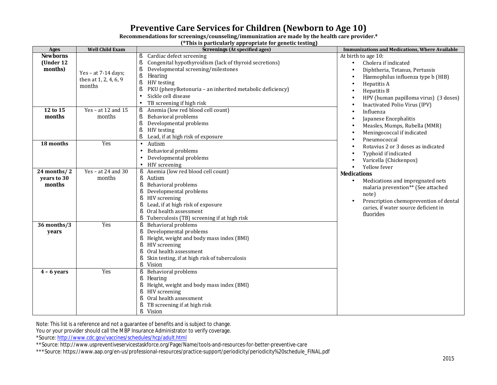# **Preventive Care Services for Children (Newborn to Age 10)**

| Recommendations for screenings/counseling/immunization are made by the health care provider.* |  |  |
|-----------------------------------------------------------------------------------------------|--|--|
|-----------------------------------------------------------------------------------------------|--|--|

**(\*This is particularly appropriate for genetic testing)**

| <b>Ages</b>                             | <b>Well Child Exam</b>                                   | This is but nominally upper spanished as a second<br><b>Screenings (At specified ages)</b>                                                                                                                                                                                                   | <b>Immunizations and Medications, Where Available</b>                                                                                                                                                                       |
|-----------------------------------------|----------------------------------------------------------|----------------------------------------------------------------------------------------------------------------------------------------------------------------------------------------------------------------------------------------------------------------------------------------------|-----------------------------------------------------------------------------------------------------------------------------------------------------------------------------------------------------------------------------|
| <b>Newborns</b><br>(Under 12<br>months) | Yes - at $7-14$ days;<br>then at 1, 2, 4, 6, 9<br>months | Cardiac defect screening<br>Congenital hypothyroidism (lack of thyroid secretions)<br>ŝ<br>Developmental screening/milestones<br>ş<br>ş<br>Hearing<br>HIV testing<br>ş<br>PKU (phenylketonuria - an inherited metabolic deficiency)<br>ŝ<br>Sickle cell disease<br>TB screening if high risk | At birth to age 10:<br>Cholera if indicated<br>Diphtheria, Tetanus, Pertussis<br>Haemophilus influenza type b (HIB)<br>Hepatitis A<br>Hepatitis B<br>HPV (human papilloma virus) (3 doses)<br>Inactivated Polio Virus (IPV) |
| 12 to 15<br>months                      | Yes - at 12 and $15$<br>months                           | Anemia (low red blood cell count)<br>ŝ<br>Behavioral problems<br>ŝ<br>ş<br>Developmental problems<br>ş<br>HIV testing<br>Lead, if at high risk of exposure                                                                                                                                   | Influenza<br>Japanese Encephalitis<br>Measles, Mumps, Rubella (MMR)<br>Meningococcal if indicated<br>Pneumococcal                                                                                                           |
| 18 months                               | Yes                                                      | Autism<br>Behavioral problems<br>Developmental problems<br>HIV screening                                                                                                                                                                                                                     | Rotavius 2 or 3 doses as indicated<br>Typhoid if indicated<br>Varicella (Chickenpox)                                                                                                                                        |
| 24 months/2<br>years to 30<br>months    | Yes – at 24 and 30<br>months                             | Anemia (low red blood cell count)<br>ş<br>Autism<br>S<br>Behavioral problems<br>s<br>Developmental problems<br>s<br>HIV screening<br>ş<br>Lead, if at high risk of exposure<br>Oral health assessment<br>Tuberculosis (TB) screening if at high risk                                         | Yellow fever<br><b>Medications</b><br>Medications and impregnated nets<br>malaria prevention** (See attached<br>note)<br>Prescription chemoprevention of dental<br>caries, if water source deficient in<br>fluorides        |
| 36 months/3<br>years                    | Yes                                                      | Behavioral problems<br>s<br>Developmental problems<br>ş<br>Height, weight and body mass index (BMI)<br>ş<br>HIV screening<br>ş<br>Oral health assessment<br>ş<br>Skin testing, if at high risk of tuberculosis<br>ŝ<br><b>Vision</b>                                                         |                                                                                                                                                                                                                             |
| $4 - 6$ years                           | Yes                                                      | <b>Behavioral problems</b><br>s<br>ş<br><b>Hearing</b><br>Height, weight and body mass index (BMI)<br>ş<br>HIV screening<br>ŝ<br>Oral health assessment<br>ş<br>TB screening if at high risk<br>Vision<br>ş                                                                                  |                                                                                                                                                                                                                             |

Note: This list is a reference and not a guarantee of benefits and is subject to change.

You or your provider should call the MBP Insurance Administrator to verify coverage.

\*Source[: http://www.cdc.gov/vaccines/schedules/hcp/adult.html](http://www.cdc.gov/vaccines/schedules/hcp/adult.html)

\*\*Source: http://www.uspreventiveservicestaskforce.org/Page/Name/tools-and-resources-for-better-preventive-care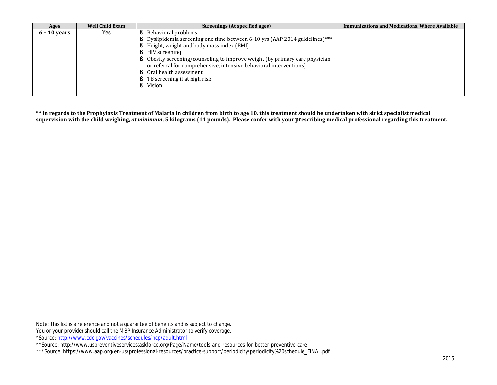| Ages           | <b>Well Child Exam</b> | Screenings (At specified ages)                                             | <b>Immunizations and Medications, Where Available</b> |
|----------------|------------------------|----------------------------------------------------------------------------|-------------------------------------------------------|
| $6 - 10$ years | Yes                    | Behavioral problems                                                        |                                                       |
|                |                        | Dyslipidemia screening one time between 6-10 yrs (AAP 2014 guidelines)***  |                                                       |
|                |                        | S Height, weight and body mass index (BMI)                                 |                                                       |
|                |                        | <b>§</b> HIV screening                                                     |                                                       |
|                |                        | Solesity screening/counseling to improve weight (by primary care physician |                                                       |
|                |                        | or referral for comprehensive, intensive behavioral interventions)         |                                                       |
|                |                        | Oral health assessment                                                     |                                                       |
|                |                        | TB screening if at high risk                                               |                                                       |
|                |                        | Vision                                                                     |                                                       |
|                |                        |                                                                            |                                                       |

**\*\* In regards to the Prophylaxis Treatment of Malaria in children from birth to age 10, this treatment should be undertaken with** *strict* **specialist medical supervision with the child weighing,** *at minimum***, 5 kilograms (11 pounds). Please confer with your prescribing medical professional regarding this treatment.**

Note: This list is a reference and not a guarantee of benefits and is subject to change. You or your provider should call the MBP Insurance Administrator to verify coverage. \*Source[: http://www.cdc.gov/vaccines/schedules/hcp/adult.html](http://www.cdc.gov/vaccines/schedules/hcp/adult.html)

\*\*Source: http://www.uspreventiveservicestaskforce.org/Page/Name/tools-and-resources-for-better-preventive-care